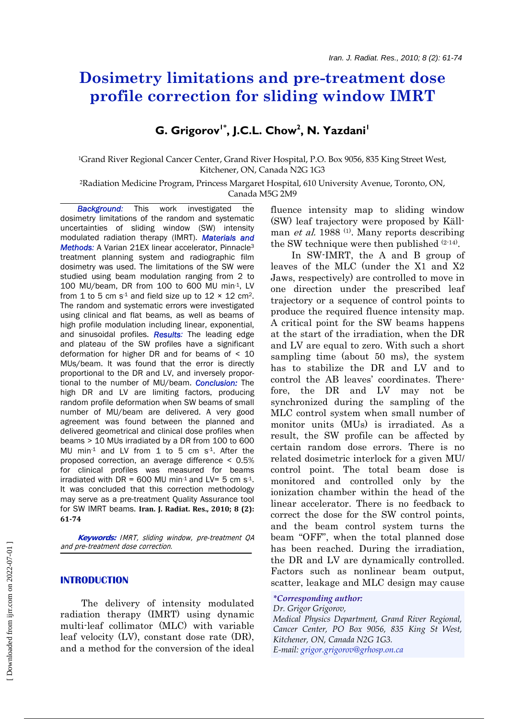# **Dosimetry limitations and pre-treatment dose profile correction for sliding window IMRT**

## $G.$  Grigorov<sup>1\*</sup>, J.C.L. Chow<sup>2</sup>, N. Yazdani<sup>1</sup>

1Grand River Regional Cancer Center, Grand River Hospital, P.O. Box 9056, 835 King Street West, Kitchener, ON, Canada N2G 1G3

2Radiation Medicine Program, Princess Margaret Hospital, 610 University Avenue, Toronto, ON, Canada M5G 2M9

 *Background:* This work investigated the dosimetry limitations of the random and systematic uncertainties of sliding window (SW) intensity modulated radiation therapy (IMRT). *Materials and Methods:* A Varian 21EX linear accelerator, Pinnacle<sup>3</sup> treatment planning system and radiographic film dosimetry was used. The limitations of the SW were studied using beam modulation ranging from 2 to 100 MU/beam, DR from 100 to 600 MU min-1, LV from 1 to 5 cm  $s<sup>1</sup>$  and field size up to 12  $\times$  12 cm<sup>2</sup>. The random and systematic errors were investigated using clinical and flat beams, as well as beams of high profile modulation including linear, exponential, and sinusoidal profiles. *Results:* The leading edge and plateau of the SW profiles have a significant deformation for higher DR and for beams of < 10 MUs/beam. It was found that the error is directly proportional to the DR and LV, and inversely proportional to the number of MU/beam. *Conclusion:* The high DR and LV are limiting factors, producing random profile deformation when SW beams of small number of MU/beam are delivered. A very good agreement was found between the planned and delivered geometrical and clinical dose profiles when beams > 10 MUs irradiated by a DR from 100 to 600 MU min<sup>-1</sup> and LV from 1 to 5 cm  $s$ <sup>-1</sup>. After the proposed correction, an average difference < 0.5% for clinical profiles was measured for beams irradiated with DR = 600 MU min<sup>-1</sup> and LV= 5 cm  $s$ <sup>-1</sup>. It was concluded that this correction methodology may serve as a pre-treatment Quality Assurance tool for SW IMRT beams. **Iran. J. Radiat. Res., 2010; 8 (2): 6174** 

 **Keywords:** IMRT, sliding window, pre-treatment QA and pre-treatment dose correction.

## **INTRODUCTION**

 The delivery of intensity modulated radiation therapy (IMRT) using dynamic multi-leaf collimator (MLC) with variable leaf velocity (LV), constant dose rate (DR), and a method for the conversion of the ideal

fluence intensity map to sliding window (SW) leaf trajectory were proposed by Källman *et al.* 1988<sup>(1)</sup>. Many reports describing the SW technique were then published  $(2-14)$ .

 In SW-IMRT, the A and B group of leaves of the MLC (under the X1 and X2 Jaws, respectively) are controlled to move in one direction under the prescribed leaf trajectory or a sequence of control points to produce the required fluence intensity map. A critical point for the SW beams happens at the start of the irradiation, when the DR and LV are equal to zero. With such a short sampling time (about 50 ms), the system has to stabilize the DR and LV and to control the AB leaves' coordinates. Therefore, the DR and LV may not be synchronized during the sampling of the MLC control system when small number of monitor units (MUs) is irradiated. As a result, the SW profile can be affected by certain random dose errors. There is no related dosimetric interlock for a given MU/ control point. The total beam dose is monitored and controlled only by the ionization chamber within the head of the linear accelerator. There is no feedback to correct the dose for the SW control points, and the beam control system turns the beam "OFF", when the total planned dose has been reached. During the irradiation, the DR and LV are dynamically controlled. Factors such as nonlinear beam output, scatter, leakage and MLC design may cause

#### *\*Corresponding author:*

#### *Dr. Grigor Grigorov,*

*Medical Physics Department, Grand River Regional, Cancer Center, PO Box 9056, 835 King St West, Kitchener, ON, Canada N2G 1G3. E-mail: grigor.grigorov@grhosp.on.ca*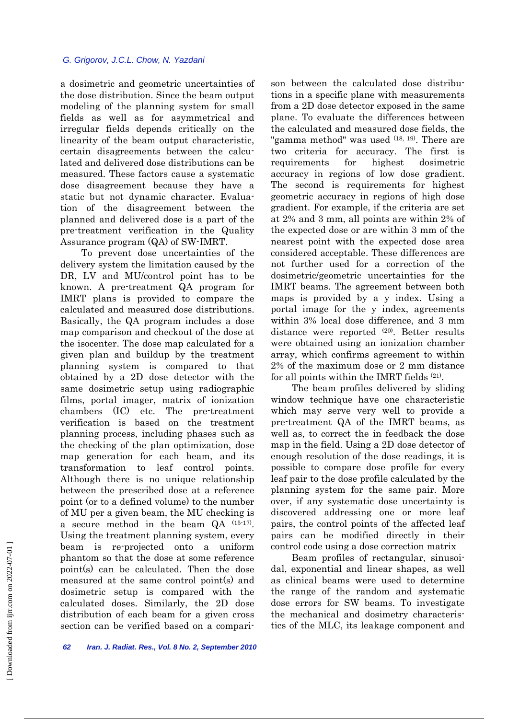a dosimetric and geometric uncertainties of the dose distribution. Since the beam output modeling of the planning system for small fields as well as for asymmetrical and irregular fields depends critically on the linearity of the beam output characteristic, certain disagreements between the calculated and delivered dose distributions can be measured. These factors cause a systematic dose disagreement because they have a static but not dynamic character. Evaluation of the disagreement between the planned and delivered dose is a part of the pre-treatment verification in the Quality Assurance program (QA) of SW-IMRT.

 To prevent dose uncertainties of the delivery system the limitation caused by the DR, LV and MU/control point has to be known. A pre-treatment QA program for IMRT plans is provided to compare the calculated and measured dose distributions. Basically, the QA program includes a dose map comparison and checkout of the dose at the isocenter. The dose map calculated for a given plan and buildup by the treatment planning system is compared to that obtained by a 2D dose detector with the same dosimetric setup using radiographic films, portal imager, matrix of ionization chambers (IC) etc. The pre-treatment verification is based on the treatment planning process, including phases such as the checking of the plan optimization, dose map generation for each beam, and its transformation to leaf control points. Although there is no unique relationship between the prescribed dose at a reference point (or to a defined volume) to the number of MU per a given beam, the MU checking is a secure method in the beam QA (15-17). Using the treatment planning system, every beam is re-projected onto a uniform phantom so that the dose at some reference point(s) can be calculated. Then the dose measured at the same control point(s) and dosimetric setup is compared with the calculated doses. Similarly, the 2D dose distribution of each beam for a given cross section can be verified based on a comparison between the calculated dose distributions in a specific plane with measurements from a 2D dose detector exposed in the same plane. To evaluate the differences between the calculated and measured dose fields, the "gamma method" was used (18, 19). There are two criteria for accuracy. The first is requirements for highest dosimetric accuracy in regions of low dose gradient. The second is requirements for highest geometric accuracy in regions of high dose gradient. For example, if the criteria are set at 2% and 3 mm, all points are within 2% of the expected dose or are within 3 mm of the nearest point with the expected dose area considered acceptable. These differences are not further used for a correction of the dosimetric/geometric uncertainties for the IMRT beams. The agreement between both maps is provided by a y index. Using a portal image for the y index, agreements within 3% local dose difference, and 3 mm distance were reported <sup>(20)</sup>. Better results were obtained using an ionization chamber array, which confirms agreement to within 2% of the maximum dose or 2 mm distance for all points within the IMRT fields (21).

 The beam profiles delivered by sliding window technique have one characteristic which may serve very well to provide a pre-treatment QA of the IMRT beams, as well as, to correct the in feedback the dose map in the field. Using a 2D dose detector of enough resolution of the dose readings, it is possible to compare dose profile for every leaf pair to the dose profile calculated by the planning system for the same pair. More over, if any systematic dose uncertainty is discovered addressing one or more leaf pairs, the control points of the affected leaf pairs can be modified directly in their control code using a dose correction matrix

 Beam profiles of rectangular, sinusoidal, exponential and linear shapes, as well as clinical beams were used to determine the range of the random and systematic dose errors for SW beams. To investigate the mechanical and dosimetry characteristics of the MLC, its leakage component and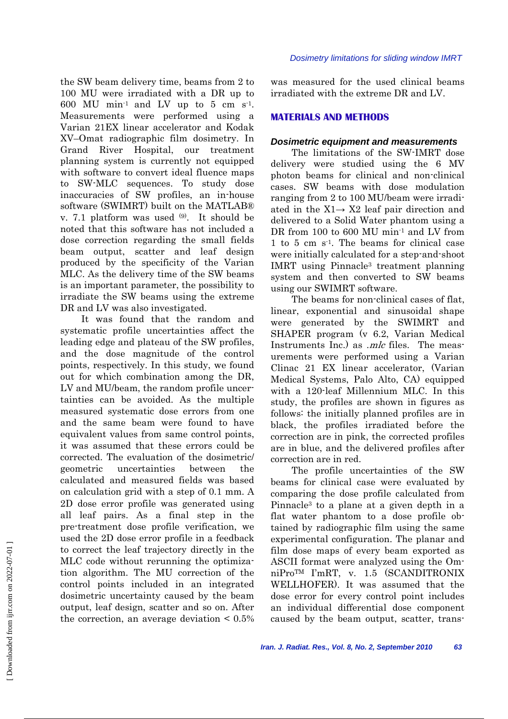the SW beam delivery time, beams from 2 to 100 MU were irradiated with a DR up to 600 MU min<sup>-1</sup> and LV up to 5 cm s<sup>-1</sup>. Measurements were performed using a Varian 21EX linear accelerator and Kodak XV–Omat radiographic film dosimetry. In Grand River Hospital, our treatment planning system is currently not equipped with software to convert ideal fluence maps to SW-MLC sequences. To study dose inaccuracies of SW profiles, an in-house software (SWIMRT) built on the MATLAB® v. 7.1 platform was used  $(9)$ . It should be noted that this software has not included a dose correction regarding the small fields beam output, scatter and leaf design produced by the specificity of the Varian MLC. As the delivery time of the SW beams is an important parameter, the possibility to irradiate the SW beams using the extreme DR and LV was also investigated.

 It was found that the random and systematic profile uncertainties affect the leading edge and plateau of the SW profiles, and the dose magnitude of the control points, respectively. In this study, we found out for which combination among the DR, LV and MU/beam, the random profile uncertainties can be avoided. As the multiple measured systematic dose errors from one and the same beam were found to have equivalent values from same control points, it was assumed that these errors could be corrected. The evaluation of the dosimetric/ geometric uncertainties between the calculated and measured fields was based on calculation grid with a step of 0.1 mm. A 2D dose error profile was generated using all leaf pairs. As a final step in the pre-treatment dose profile verification, we used the 2D dose error profile in a feedback to correct the leaf trajectory directly in the MLC code without rerunning the optimization algorithm. The MU correction of the control points included in an integrated dosimetric uncertainty caused by the beam output, leaf design, scatter and so on. After the correction, an average deviation  $\leq 0.5\%$  was measured for the used clinical beams irradiated with the extreme DR and LV.

## **MATERIALS AND METHODS**

## *Dosimetric equipment and measurements*

 The limitations of the SW-IMRT dose delivery were studied using the 6 MV photon beams for clinical and non-clinical cases. SW beams with dose modulation ranging from 2 to 100 MU/beam were irradiated in the X1→ X2 leaf pair direction and delivered to a Solid Water phantom using a DR from 100 to 600 MU min<sup>-1</sup> and LV from 1 to 5 cm  $s<sup>1</sup>$ . The beams for clinical case were initially calculated for a step-and-shoot IMRT using Pinnacle3 treatment planning system and then converted to SW beams using our SWIMRT software.

 The beams for non-clinical cases of flat, linear, exponential and sinusoidal shape were generated by the SWIMRT and SHAPER program (v 6.2, Varian Medical Instruments Inc.) as *.mlc* files. The measurements were performed using a Varian Clinac 21 EX linear accelerator, (Varian Medical Systems, Palo Alto, CA) equipped with a 120-leaf Millennium MLC. In this study, the profiles are shown in figures as follows: the initially planned profiles are in black, the profiles irradiated before the correction are in pink, the corrected profiles are in blue, and the delivered profiles after correction are in red.

 The profile uncertainties of the SW beams for clinical case were evaluated by comparing the dose profile calculated from Pinnacle3 to a plane at a given depth in a flat water phantom to a dose profile obtained by radiographic film using the same experimental configuration. The planar and film dose maps of every beam exported as ASCII format were analyzed using the OmniProTM I'mRT, v. 1.5 (SCANDITRONIX WELLHOFER). It was assumed that the dose error for every control point includes an individual differential dose component caused by the beam output, scatter, trans-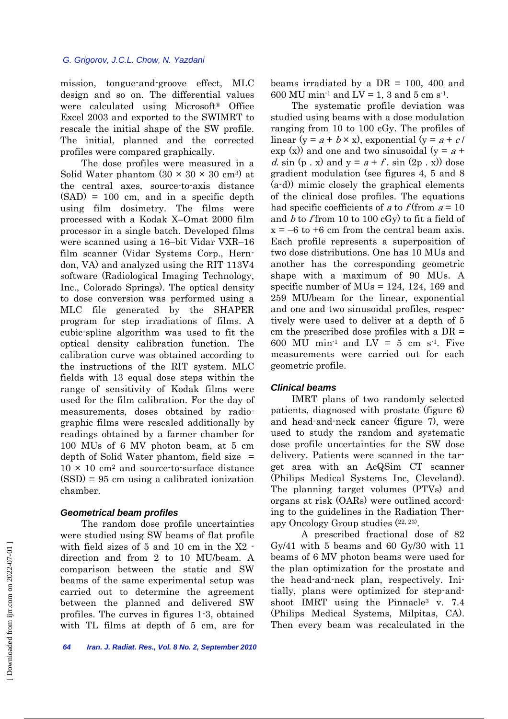mission, tongue-and-groove effect, MLC design and so on. The differential values were calculated using Microsoft® Office Excel 2003 and exported to the SWIMRT to rescale the initial shape of the SW profile. The initial, planned and the corrected profiles were compared graphically.

 The dose profiles were measured in a Solid Water phantom  $(30 \times 30 \times 30 \text{ cm}^3)$  at the central axes, source-to-axis distance  $(SAD) = 100$  cm, and in a specific depth using film dosimetry. The films were processed with a Kodak X–Omat 2000 film processor in a single batch. Developed films were scanned using a 16–bit Vidar VXR–16 film scanner (Vidar Systems Corp., Herndon, VA) and analyzed using the RIT 113V4 software (Radiological Imaging Technology, Inc., Colorado Springs). The optical density to dose conversion was performed using a MLC file generated by the SHAPER program for step irradiations of films. A cubic-spline algorithm was used to fit the optical density calibration function. The calibration curve was obtained according to the instructions of the RIT system. MLC fields with 13 equal dose steps within the range of sensitivity of Kodak films were used for the film calibration. For the day of measurements, doses obtained by radiographic films were rescaled additionally by readings obtained by a farmer chamber for 100 MUs of 6 MV photon beam, at 5 cm depth of Solid Water phantom, field size  $=$  $10 \times 10$  cm<sup>2</sup> and source-to-surface distance (SSD) = 95 cm using a calibrated ionization chamber.

## *Geometrical beam profiles*

 The random dose profile uncertainties were studied using SW beams of flat profile with field sizes of 5 and 10 cm in the X2 direction and from 2 to 10 MU/beam. A comparison between the static and SW beams of the same experimental setup was carried out to determine the agreement between the planned and delivered SW profiles. The curves in figures 1-3, obtained with TL films at depth of 5 cm, are for beams irradiated by a  $DR = 100$ , 400 and 600 MU min<sup>-1</sup> and LV = 1, 3 and 5 cm s<sup>-1</sup>.

 The systematic profile deviation was studied using beams with a dose modulation ranging from 10 to 100 cGy. The profiles of linear (y =  $a + b \times x$ ), exponential (y =  $a + c$ /  $\exp(x)$  and one and two sinusoidal (y = a + d. sin  $(p \cdot x)$  and  $y = a + f$ . sin  $(2p \cdot x)$  dose gradient modulation (see figures 4, 5 and 8 (a-d)) mimic closely the graphical elements of the clinical dose profiles. The equations had specific coefficients of a to  $f$  (from  $a = 10$ ) and  $b$  to f from 10 to 100 cGy) to fit a field of  $x = -6$  to  $+6$  cm from the central beam axis. Each profile represents a superposition of two dose distributions. One has 10 MUs and another has the corresponding geometric shape with a maximum of 90 MUs. A specific number of  $MUs = 124, 124, 169$  and 259 MU/beam for the linear, exponential and one and two sinusoidal profiles, respectively were used to deliver at a depth of 5 cm the prescribed dose profiles with a  $DR =$ 600 MU min<sup>1</sup> and  $LV = 5$  cm s<sup>1</sup>. Five measurements were carried out for each geometric profile.

## *Clinical beams*

 IMRT plans of two randomly selected patients, diagnosed with prostate (figure 6) and head-and-neck cancer (figure 7), were used to study the random and systematic dose profile uncertainties for the SW dose delivery. Patients were scanned in the target area with an AcQSim CT scanner (Philips Medical Systems Inc, Cleveland). The planning target volumes (PTVs) and organs at risk (OARs) were outlined according to the guidelines in the Radiation Therapy Oncology Group studies (22, 23).

A prescribed fractional dose of 82 Gy/41 with 5 beams and 60 Gy/30 with 11 beams of 6 MV photon beams were used for the plan optimization for the prostate and the head-and-neck plan, respectively. Initially, plans were optimized for step-andshoot IMRT using the Pinnacle<sup>3</sup> v. 7.4 (Philips Medical Systems, Milpitas, CA). Then every beam was recalculated in the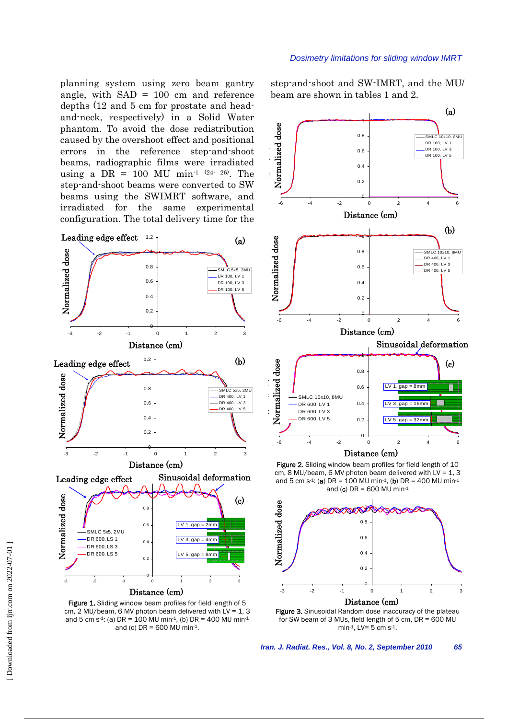planning system using zero beam gantry angle, with SAD = 100 cm and reference depths (12 and 5 cm for prostate and headand-neck, respectively) in a Solid Water phantom. To avoid the dose redistribution caused by the overshoot effect and positional errors in the reference step-and-shoot beams, radiographic films were irradiated using a  $DR = 100$  MU min<sup>-1 (24-26)</sup>. The step-and-shoot beams were converted to SW beams using the SWIMRT software, and irradiated for the same experimental configuration. The total delivery time for the



Figure 1. Sliding window beam profiles for field length of 5 cm, 2 MU/beam, 6 MV photon beam delivered with  $LV = 1, 3$ and 5 cm s<sup>-1</sup>: (a) DR = 100 MU min<sup>-1</sup>, (b) DR = 400 MU min<sup>-1</sup> and (c)  $DR = 600$  MU min-1.

#### *Dosimetry limitations for sliding window IMRT*

step-and-shoot and SW-IMRT, and the MU/ beam are shown in tables 1 and 2.



Figure 2. Sliding window beam profiles for field length of 10  $cm$ , 8 MU/beam, 6 MV photon beam delivered with  $LV = 1$ , 3 and 5 cm s<sup>-1</sup>: (a) DR = 100 MU min<sup>-1</sup>, (b) DR = 400 MU min<sup>-1</sup> and (c)  $DR = 600$  MU min-1



for SW beam of 3 MUs, field length of 5 cm, DR = 600 MU min-1, LV=  $5 \text{ cm s}^{-1}$ .

*Iran. J. Radiat. Res., Vol. 8, No. 2, September 2010 65*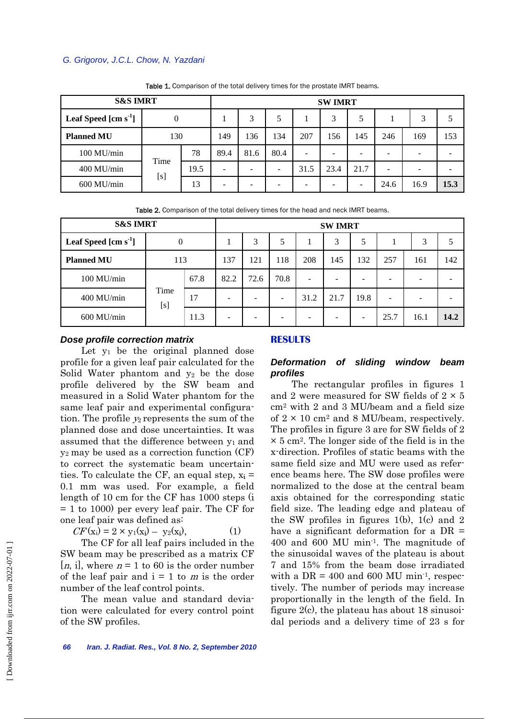## *G. Grigorov, J.C.L. Chow, N. Yazdani*

| <b>S&amp;S IMRT</b>             |      |      |      | <b>SWIMRT</b> |      |                 |      |      |                          |                          |      |  |
|---------------------------------|------|------|------|---------------|------|-----------------|------|------|--------------------------|--------------------------|------|--|
| Leaf Speed $\mathrm{[cm\ s^1]}$ | 0    |      |      | 3             | 5    |                 | 3    | 5    |                          | 3                        |      |  |
| <b>Planned MU</b>               | 130  |      | 149  | 136           | 134  | 207             | 156  | 145  | 246                      | 169                      | 153  |  |
| 100 MU/min                      |      | 78   | 89.4 | 81.6          | 80.4 | $\qquad \qquad$ | -    | -    |                          | $\overline{\phantom{a}}$ |      |  |
| 400 MU/min                      | Time | 19.5 | ۰    | -             | -    | 31.5            | 23.4 | 21.7 | $\overline{\phantom{0}}$ |                          |      |  |
| 600 MU/min                      | [s]  | 13   | ۰    | -             | -    | -               | -    | -    | 24.6                     | 16.9                     | 15.3 |  |

Table 1. Comparison of the total delivery times for the prostate IMRT beams.

Table 2. Comparison of the total delivery times for the head and neck IMRT beams.

| <b>S&amp;S IMRT</b>             |             |      | <b>SWIMRT</b> |      |      |      |      |      |      |      |      |
|---------------------------------|-------------|------|---------------|------|------|------|------|------|------|------|------|
| Leaf Speed $\mathrm{[cm\ s}^1]$ | 0           |      |               | 3    | 5    |      | 3    | 5    |      | 3    |      |
| <b>Planned MU</b>               | 113         |      | 137           | 121  | 118  | 208  | 145  | 132  | 257  | 161  | 142  |
| $100$ MU/min                    |             | 67.8 | 82.2          | 72.6 | 70.8 | -    | ۰    |      | -    |      |      |
| 400 MU/min                      | Time<br>[s] | 17   | -             |      |      | 31.2 | 21.7 | 19.8 |      |      |      |
| 600 MU/min                      |             | 11.3 | -             |      |      |      |      |      | 25.7 | 16.1 | 14.2 |

## *Dose profile correction matrix*

Let  $y_1$  be the original planned dose profile for a given leaf pair calculated for the Solid Water phantom and y2 be the dose profile delivered by the SW beam and measured in a Solid Water phantom for the same leaf pair and experimental configuration. The profile y2 represents the sum of the planned dose and dose uncertainties. It was assumed that the difference between y1 and y2 may be used as a correction function (CF) to correct the systematic beam uncertainties. To calculate the CF, an equal step,  $x_i =$ 0.1 mm was used. For example, a field length of 10 cm for the CF has 1000 steps (i = 1 to 1000) per every leaf pair. The CF for one leaf pair was defined as:

$$
CF(\mathbf{x_i}) = 2 \times \mathbf{y_1}(\mathbf{x_i}) - \mathbf{y_2}(\mathbf{x_i}), \tag{1}
$$

 The CF for all leaf pairs included in the SW beam may be prescribed as a matrix CF [*n*, i], where  $n = 1$  to 60 is the order number of the leaf pair and  $i = 1$  to m is the order number of the leaf control points.

 The mean value and standard deviation were calculated for every control point of the SW profiles.

#### **RESULTS**

## *Deformation of sliding window beam profiles*

 The rectangular profiles in figures 1 and 2 were measured for SW fields of  $2 \times 5$ cm2 with 2 and 3 MU/beam and a field size of  $2 \times 10$  cm<sup>2</sup> and 8 MU/beam, respectively. The profiles in figure 3 are for SW fields of 2  $\times$  5 cm<sup>2</sup>. The longer side of the field is in the x-direction. Profiles of static beams with the same field size and MU were used as reference beams here. The SW dose profiles were normalized to the dose at the central beam axis obtained for the corresponding static field size. The leading edge and plateau of the SW profiles in figures 1(b), 1(c) and 2 have a significant deformation for a  $DR =$ 400 and 600 MU min-1. The magnitude of the sinusoidal waves of the plateau is about 7 and 15% from the beam dose irradiated with a  $DR = 400$  and 600 MU min<sup>-1</sup>, respectively. The number of periods may increase proportionally in the length of the field. In figure 2(c), the plateau has about 18 sinusoidal periods and a delivery time of 23 s for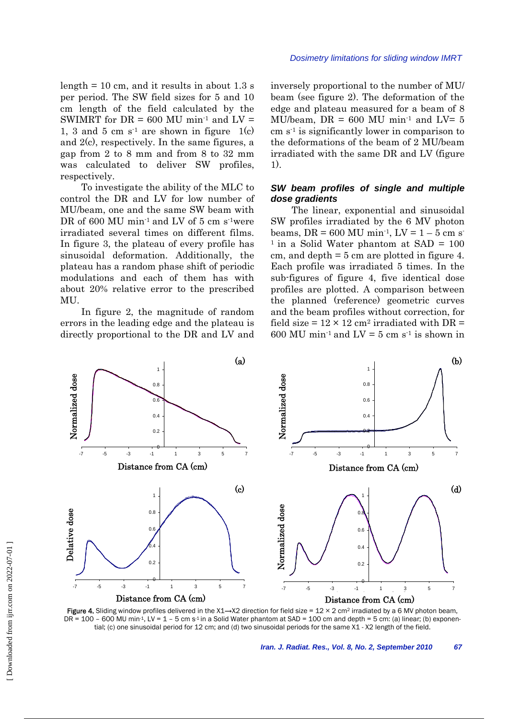*Dosimetry limitations for sliding window IMRT*

length  $= 10$  cm, and it results in about 1.3 s per period. The SW field sizes for 5 and 10 cm length of the field calculated by the SWIMRT for  $DR = 600$  MU min<sup>-1</sup> and  $LV =$ 1, 3 and 5 cm  $s<sup>-1</sup>$  are shown in figure 1(c) and  $2(c)$ , respectively. In the same figures, a gap from 2 to 8 mm and from 8 to 32 mm was calculated to deliver SW profiles, respectively.

 To investigate the ability of the MLC to control the DR and LV for low number of MU/beam, one and the same SW beam with DR of 600 MU min<sup>-1</sup> and LV of 5 cm s<sup>-1</sup>were irradiated several times on different films. In figure 3, the plateau of every profile has sinusoidal deformation. Additionally, the plateau has a random phase shift of periodic modulations and each of them has with about 20% relative error to the prescribed MU.

 In figure 2, the magnitude of random errors in the leading edge and the plateau is directly proportional to the DR and LV and inversely proportional to the number of MU/ beam (see figure 2). The deformation of the edge and plateau measured for a beam of 8 MU/beam,  $DR = 600$  MU min<sup>-1</sup> and  $LV = 5$  $\text{cm s}^{-1}$  is significantly lower in comparison to the deformations of the beam of 2 MU/beam irradiated with the same DR and LV (figure 1).

## *SW beam profiles of single and multiple dose gradients*

 The linear, exponential and sinusoidal SW profiles irradiated by the 6 MV photon beams, DR = 600 MU min<sup>-1</sup>, LV =  $1 - 5$  cm s  $1$  in a Solid Water phantom at SAD = 100 cm, and depth = 5 cm are plotted in figure 4. Each profile was irradiated 5 times. In the sub-figures of figure 4, five identical dose profiles are plotted. A comparison between the planned (reference) geometric curves and the beam profiles without correction, for field size =  $12 \times 12$  cm<sup>2</sup> irradiated with DR = 600 MU min<sup>1</sup> and  $LV = 5$  cm s<sup>1</sup> is shown in



Figure 4. Sliding window profiles delivered in the X1→X2 direction for field size = 12 × 2 cm<sup>2</sup> irradiated by a 6 MV photon beam, DR =  $100 - 600$  MU min<sup>-1</sup>, LV =  $1 - 5$  cm s<sup>-1</sup> in a Solid Water phantom at SAD =  $100$  cm and depth =  $5$  cm: (a) linear; (b) exponential; (c) one sinusoidal period for 12 cm; and (d) two sinusoidal periods for the same X1 - X2 length of the field.

*Iran. J. Radiat. Res., Vol. 8, No. 2, September 2010 67*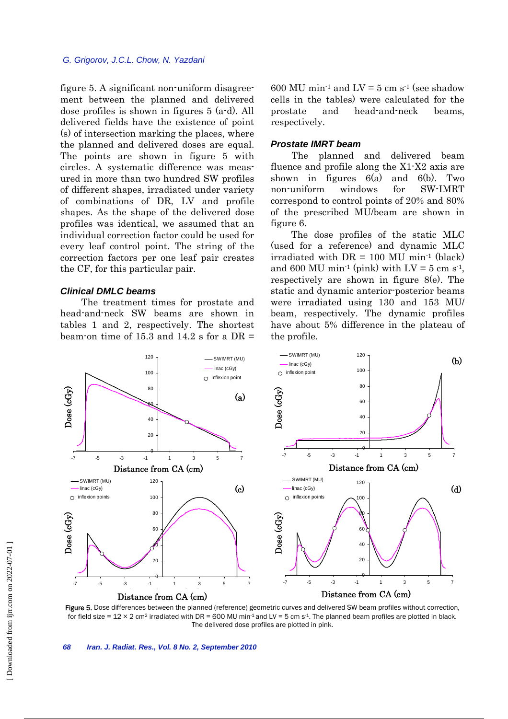figure 5. A significant non-uniform disagreement between the planned and delivered dose profiles is shown in figures 5 (a-d). All delivered fields have the existence of point (s) of intersection marking the places, where the planned and delivered doses are equal. The points are shown in figure 5 with circles. A systematic difference was measured in more than two hundred SW profiles of different shapes, irradiated under variety of combinations of DR, LV and profile shapes. As the shape of the delivered dose profiles was identical, we assumed that an individual correction factor could be used for every leaf control point. The string of the correction factors per one leaf pair creates the CF, for this particular pair.

## *Clinical DMLC beams*

 The treatment times for prostate and head-and-neck SW beams are shown in tables 1 and 2, respectively. The shortest beam-on time of 15.3 and 14.2 s for a  $DR =$ 

600 MU min<sup>-1</sup> and  $LV = 5$  cm s<sup>-1</sup> (see shadow cells in the tables) were calculated for the prostate and head-and-neck beams, respectively.

#### *Prostate IMRT beam*

 The planned and delivered beam fluence and profile along the X1-X2 axis are shown in figures  $6(a)$  and  $6(b)$ . Two non-uniform windows for SW-IMRT correspond to control points of 20% and 80% of the prescribed MU/beam are shown in figure 6.

The dose profiles of the static MLC (used for a reference) and dynamic MLC irradiated with  $DR = 100$  MU min<sup>-1</sup> (black) and 600 MU min<sup>-1</sup> (pink) with  $LV = 5$  cm s<sup>-1</sup>. respectively are shown in figure 8(e). The static and dynamic anterior-posterior beams were irradiated using 130 and 153 MU/ beam, respectively. The dynamic profiles have about 5% difference in the plateau of the profile.



Figure 5. Dose differences between the planned (reference) geometric curves and delivered SW beam profiles without correction, for field size =  $12 \times 2$  cm<sup>2</sup> irradiated with DR = 600 MU min<sup>-1</sup> and LV = 5 cm s<sup>-1</sup>. The planned beam profiles are plotted in black. The delivered dose profiles are plotted in pink.

*68 Iran. J. Radiat. Res., Vol. 8 No. 2, September 2010*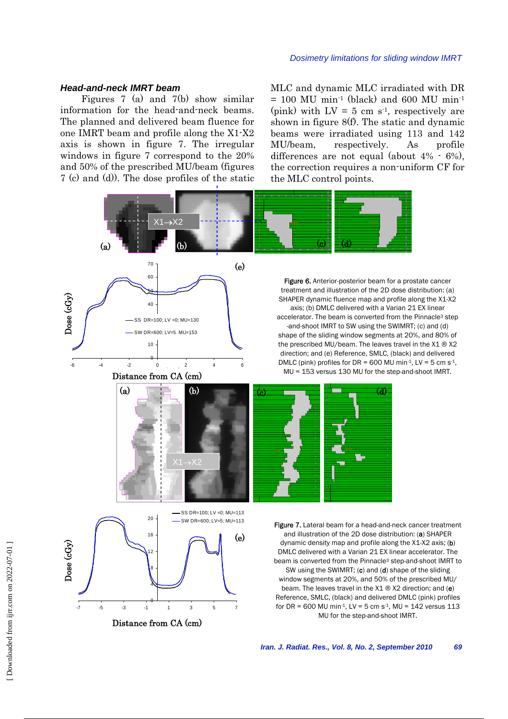## *Head-and-neck IMRT beam*

 Figures 7 (a) and 7(b) show similar information for the head-and-neck beams. The planned and delivered beam fluence for one IMRT beam and profile along the X1-X2 axis is shown in figure 7. The irregular windows in figure 7 correspond to the 20% and 50% of the prescribed MU/beam (figures 7 (c) and (d)). The dose profiles of the static MLC and dynamic MLC irradiated with DR  $= 100$  MU min<sup>-1</sup> (black) and 600 MU min<sup>-1</sup> (pink) with  $LV = 5$  cm s<sup>-1</sup>, respectively are shown in figure 8(f). The static and dynamic beams were irradiated using 113 and 142 MU/beam, respectively. As profile differences are not equal (about 4% - 6%), the correction requires a non-uniform CF for the MLC control points.

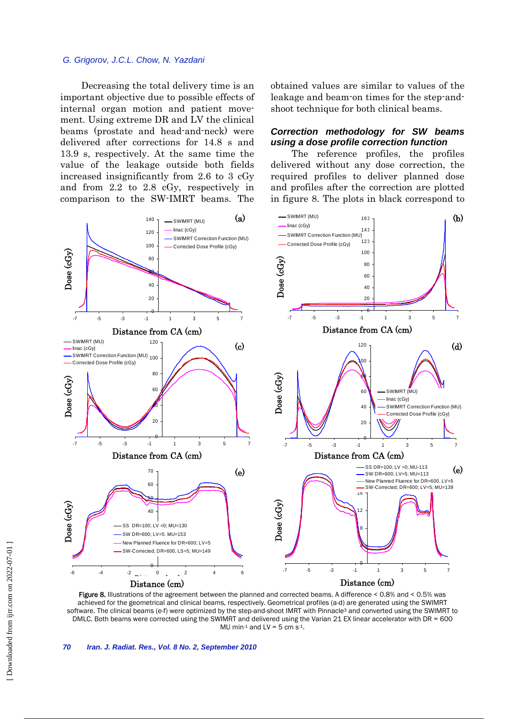## *G. Grigorov, J.C.L. Chow, N. Yazdani*

 Decreasing the total delivery time is an important objective due to possible effects of internal organ motion and patient movement. Using extreme DR and LV the clinical beams (prostate and head-and-neck) were delivered after corrections for 14.8 s and 13.9 s, respectively. At the same time the value of the leakage outside both fields increased insignificantly from 2.6 to 3 cGy and from 2.2 to 2.8 cGy, respectively in comparison to the SW-IMRT beams. The obtained values are similar to values of the leakage and beam-on times for the step-andshoot technique for both clinical beams.

## *Correction methodology for SW beams using a dose profile correction function*

 The reference profiles, the profiles delivered without any dose correction, the required profiles to deliver planned dose and profiles after the correction are plotted in figure 8. The plots in black correspond to



Figure 8. Illustrations of the agreement between the planned and corrected beams. A difference < 0.8% and < 0.5% was achieved for the geometrical and clinical beams, respectively. Geometrical profiles (a-d) are generated using the SWIMRT software. The clinical beams (e-f) were optimized by the step-and-shoot IMRT with Pinnacle<sup>3</sup> and converted using the SWIMRT to DMLC. Both beams were corrected using the SWIMRT and delivered using the Varian 21 EX linear accelerator with DR = 600 MU min-1 and  $LV = 5$  cm s-1.

*70 Iran. J. Radiat. Res., Vol. 8 No. 2, September 2010*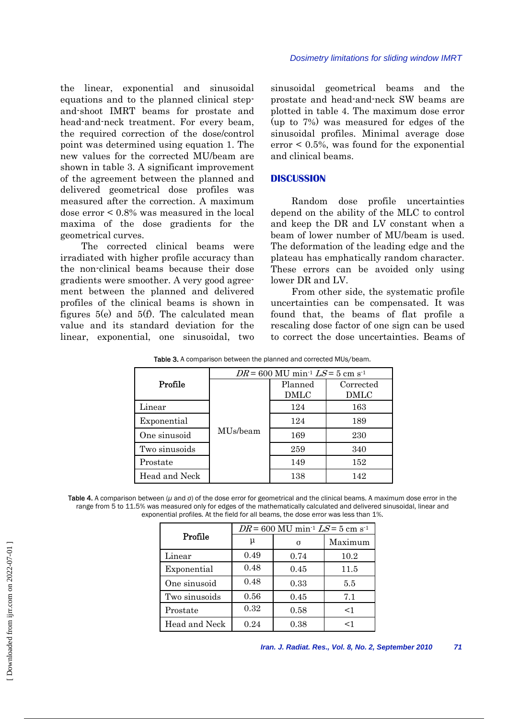the linear, exponential and sinusoidal equations and to the planned clinical stepand-shoot IMRT beams for prostate and head-and-neck treatment. For every beam, the required correction of the dose/control point was determined using equation 1. The new values for the corrected MU/beam are shown in table 3. A significant improvement of the agreement between the planned and delivered geometrical dose profiles was measured after the correction. A maximum dose error < 0.8% was measured in the local maxima of the dose gradients for the geometrical curves.

 The corrected clinical beams were irradiated with higher profile accuracy than the non-clinical beams because their dose gradients were smoother. A very good agreement between the planned and delivered profiles of the clinical beams is shown in figures 5(e) and 5(f). The calculated mean value and its standard deviation for the linear, exponential, one sinusoidal, two sinusoidal geometrical beams and the prostate and head-and-neck SW beams are plotted in table 4. The maximum dose error (up to 7%) was measured for edges of the sinusoidal profiles. Minimal average dose  $error < 0.5\%$ , was found for the exponential and clinical beams.

## **DISCUSSION**

 Random dose profile uncertainties depend on the ability of the MLC to control and keep the DR and LV constant when a beam of lower number of MU/beam is used. The deformation of the leading edge and the plateau has emphatically random character. These errors can be avoided only using lower DR and LV.

 From other side, the systematic profile uncertainties can be compensated. It was found that, the beams of flat profile a rescaling dose factor of one sign can be used to correct the dose uncertainties. Beams of

|               | $DR = 600$ MU min <sup>-1</sup> $LS = 5$ cm s <sup>-1</sup> |                 |                   |  |  |  |  |
|---------------|-------------------------------------------------------------|-----------------|-------------------|--|--|--|--|
| Profile       |                                                             | Planned<br>DMLC | Corrected<br>DMLC |  |  |  |  |
| Linear        | MU <sub>s</sub> /beam                                       | 124             | 163               |  |  |  |  |
| Exponential   |                                                             | 124             | 189               |  |  |  |  |
| One sinusoid  |                                                             | 169             | 230               |  |  |  |  |
| Two sinusoids |                                                             | 259             | 340               |  |  |  |  |
| Prostate      |                                                             | 149             | 152               |  |  |  |  |
| Head and Neck |                                                             | 138             | 142               |  |  |  |  |

Table 4. A comparison between (*µ* and *σ*) of the dose error for geometrical and the clinical beams. A maximum dose error in the range from 5 to 11.5% was measured only for edges of the mathematically calculated and delivered sinusoidal, linear and exponential profiles. At the field for all beams, the dose error was less than 1%.

|               | $DR = 600$ MU min <sup>-1</sup> $LS = 5$ cm s <sup>-1</sup> |          |         |  |  |  |  |  |
|---------------|-------------------------------------------------------------|----------|---------|--|--|--|--|--|
| Profile       | μ                                                           | $\sigma$ | Maximum |  |  |  |  |  |
| Linear        | 0.49                                                        | 0.74     | 10.2    |  |  |  |  |  |
| Exponential   | 0.48                                                        | 0.45     | 11.5    |  |  |  |  |  |
| One sinusoid  | 0.48                                                        | 0.33     | 5.5     |  |  |  |  |  |
| Two sinusoids | 0.56                                                        | 0.45     | 7.1     |  |  |  |  |  |
| Prostate      | 0.32                                                        | 0.58     | <1      |  |  |  |  |  |
| Head and Neck | 0.24                                                        | 0.38     | $<$ 1   |  |  |  |  |  |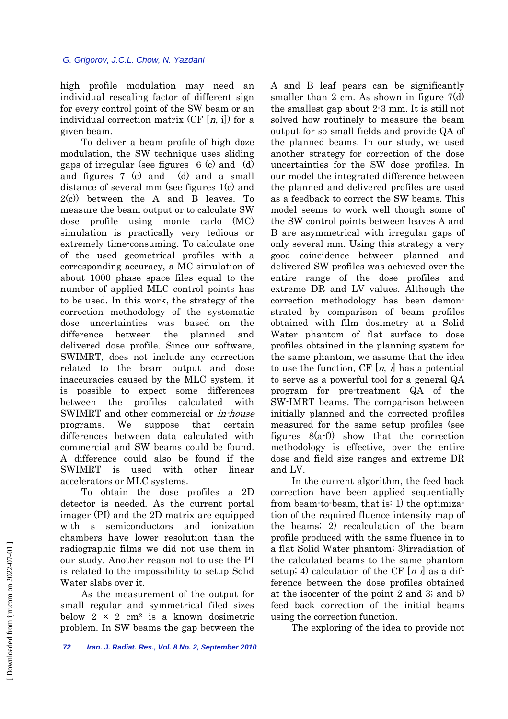high profile modulation may need an individual rescaling factor of different sign for every control point of the SW beam or an individual correction matrix  $(CF[n, i])$  for a given beam.

 To deliver a beam profile of high doze modulation, the SW technique uses sliding gaps of irregular (see figures 6 (c) and (d) and figures 7 (c) and (d) and a small distance of several mm (see figures 1(c) and 2(c)) between the A and B leaves. To measure the beam output or to calculate SW dose profile using monte carlo (MC) simulation is practically very tedious or extremely time-consuming. To calculate one of the used geometrical profiles with a corresponding accuracy, a MC simulation of about 1000 phase space files equal to the number of applied MLC control points has to be used. In this work, the strategy of the correction methodology of the systematic dose uncertainties was based on the difference between the planned and delivered dose profile. Since our software, SWIMRT, does not include any correction related to the beam output and dose inaccuracies caused by the MLC system, it is possible to expect some differences between the profiles calculated with SWIMRT and other commercial or in-house programs. We suppose that certain differences between data calculated with commercial and SW beams could be found. A difference could also be found if the SWIMRT is used with other linear accelerators or MLC systems.

 To obtain the dose profiles a 2D detector is needed. As the current portal imager (PI) and the 2D matrix are equipped with s semiconductors and ionization chambers have lower resolution than the radiographic films we did not use them in our study. Another reason not to use the PI is related to the impossibility to setup Solid Water slabs over it.

 As the measurement of the output for small regular and symmetrical filed sizes below  $2 \times 2$  cm<sup>2</sup> is a known dosimetric problem. In SW beams the gap between the

A and B leaf pears can be significantly smaller than 2 cm. As shown in figure  $7(d)$ the smallest gap about 2-3 mm. It is still not solved how routinely to measure the beam output for so small fields and provide QA of the planned beams. In our study, we used another strategy for correction of the dose uncertainties for the SW dose profiles. In our model the integrated difference between the planned and delivered profiles are used as a feedback to correct the SW beams. This model seems to work well though some of the SW control points between leaves A and B are asymmetrical with irregular gaps of only several mm. Using this strategy a very good coincidence between planned and delivered SW profiles was achieved over the entire range of the dose profiles and extreme DR and LV values. Although the correction methodology has been demonstrated by comparison of beam profiles obtained with film dosimetry at a Solid Water phantom of flat surface to dose profiles obtained in the planning system for the same phantom, we assume that the idea to use the function, CF  $[n, j]$  has a potential to serve as a powerful tool for a general QA program for pre-treatment QA of the SW-IMRT beams. The comparison between initially planned and the corrected profiles measured for the same setup profiles (see figures 8(a-f)) show that the correction methodology is effective, over the entire dose and field size ranges and extreme DR and LV.

 In the current algorithm, the feed back correction have been applied sequentially from beam-to-beam, that is: 1) the optimization of the required fluence intensity map of the beams; 2) recalculation of the beam profile produced with the same fluence in to a flat Solid Water phantom; 3)irradiation of the calculated beams to the same phantom setup; 4) calculation of the CF  $[n]$  as a difference between the dose profiles obtained at the isocenter of the point 2 and 3; and 5) feed back correction of the initial beams using the correction function.

The exploring of the idea to provide not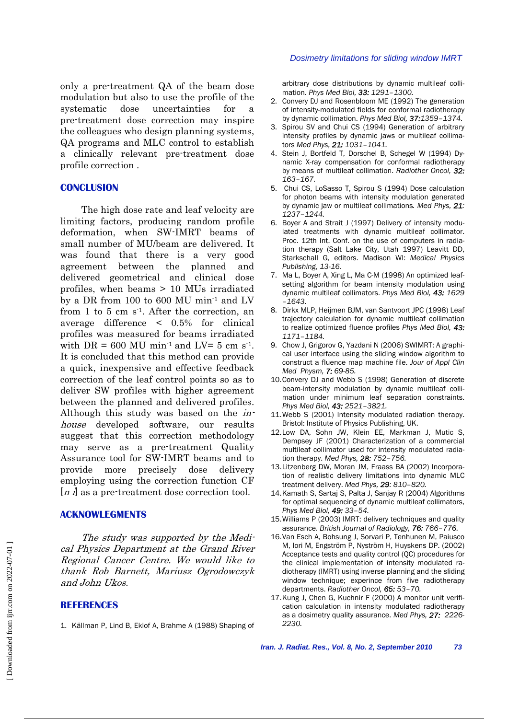only a pre-treatment QA of the beam dose modulation but also to use the profile of the systematic dose uncertainties for a pre-treatment dose correction may inspire the colleagues who design planning systems, QA programs and MLC control to establish a clinically relevant pre-treatment dose profile correction .

## **CONCLUSION**

 The high dose rate and leaf velocity are limiting factors, producing random profile deformation, when SW-IMRT beams of small number of MU/beam are delivered. It was found that there is a very good agreement between the planned and delivered geometrical and clinical dose profiles, when beams > 10 MUs irradiated by a DR from 100 to 600 MU min-1 and LV from 1 to 5 cm  $s<sup>1</sup>$ . After the correction, an average difference < 0.5% for clinical profiles was measured for beams irradiated with  $DR = 600$  MU min<sup>-1</sup> and  $LV = 5$  cm s<sup>-1</sup>. It is concluded that this method can provide a quick, inexpensive and effective feedback correction of the leaf control points so as to deliver SW profiles with higher agreement between the planned and delivered profiles. Although this study was based on the inhouse developed software, our results suggest that this correction methodology may serve as a pre-treatment Quality Assurance tool for SW-IMRT beams and to provide more precisely dose delivery employing using the correction function CF [*n i*] as a pre-treatment dose correction tool.

## **ACKNOWLEGMENTS**

 The study was supported by the Medical Physics Department at the Grand River Regional Cancer Centre. We would like to thank Rob Barnett, Mariusz Ogrodowczyk and John Ukos.

## **REFERENCES**

1. Källman P, Lind B, Eklof A, Brahme A (1988) Shaping of

#### *Dosimetry limitations for sliding window IMRT*

arbitrary dose distributions by dynamic multileaf collimation. *Phys Med Biol, 33: 1291–1300.*

- 2. Convery DJ and Rosenbloom ME (1992) The generation of intensity-modulated fields for conformal radiotherapy by dynamic collimation. *Phys Med Biol, 37:1359–1374.*
- 3. Spirou SV and Chui CS (1994) Generation of arbitrary intensity profiles by dynamic jaws or multileaf collimators *Med Phys, 21: 1031–1041.*
- 4. Stein J, Bortfeld T, Dorschel B, Schegel W (1994) Dynamic X-ray compensation for conformal radiotherapy by means of multileaf collimation. *Radiother Oncol, 32: 163–167.*
- 5. Chui CS, LoSasso T, Spirou S (1994) Dose calculation for photon beams with intensity modulation generated by dynamic jaw or multileaf collimations*. Med Phys, 21: 1237–1244.*
- 6. Boyer A and Strait J (1997) Delivery of intensity modulated treatments with dynamic multileaf collimator. Proc. 12th Int. Conf. on the use of computers in radiation therapy (Salt Lake City, Utah 1997) Leavitt DD, Starkschall G, editors. Madison WI: *Medical Physics Publishing*, *13-16.*
- 7. Ma L, Boyer A, Xing L, Ma C-M (1998) An optimized leafsetting algorithm for beam intensity modulation using dynamic multileaf collimators. *Phys Med Biol, 43: 1629 –1643.*
- 8. Dirkx MLP, Heijmen BJM, van Santvoort JPC (1998) Leaf trajectory calculation for dynamic multileaf collimation to realize optimized fluence profiles *Phys Med Biol, 43: 1171–1184.*
- 9. Chow J, Grigorov G, Yazdani N (2006) SWIMRT: A graphical user interface using the sliding window algorithm to construct a fluence map machine file. *Jour of Appl Clin Med Physm, 7: 69-85.*
- 10. Convery DJ and Webb S (1998) Generation of discrete beam-intensity modulation by dynamic multileaf collimation under minimum leaf separation constraints. *Phys Med Biol, 43: 2521–3821.*
- 11. Webb S (2001) Intensity modulated radiation therapy. Bristol: Institute of Physics Publishing, UK.
- 12. Low DA, Sohn JW, Klein EE, Markman J, Mutic S, Dempsey JF (2001) Characterization of a commercial multileaf collimator used for intensity modulated radiation therapy. *Med Phys, 28: 752–756.*
- 13. Litzenberg DW, Moran JM, Fraass BA (2002) Incorporation of realistic delivery limitations into dynamic MLC treatment delivery. *Med Phys, 29: 810–820.*
- 14. Kamath S, Sartaj S, Palta J, Sanjay R (2004) Algorithms for optimal sequencing of dynamic multileaf collimators, *Phys Med Biol, 49: 33–54.*
- 15. Williams P (2003) IMRT: delivery techniques and quality assurance. *British Journal of Radiology, 76: 766–776.*
- 16. Van Esch A, Bohsung J, Sorvari P, Tenhunen M, Paiusco M, Iori M, Engström P, Nyström H, Huyskens DP. (2002) Acceptance tests and quality control (QC) procedures for the clinical implementation of intensity modulated radiotherapy (IMRT) using inverse planning and the sliding window technique; experince from five radiotherapy departments. *Radiother Oncol, 65: 53–70.*
- 17. Kung J, Chen G, Kuchnir F (2000) A monitor unit verification calculation in intensity modulated radiotherapy as a dosimetry quality assurance. *Med Phys, 27: 2226- 2230.*